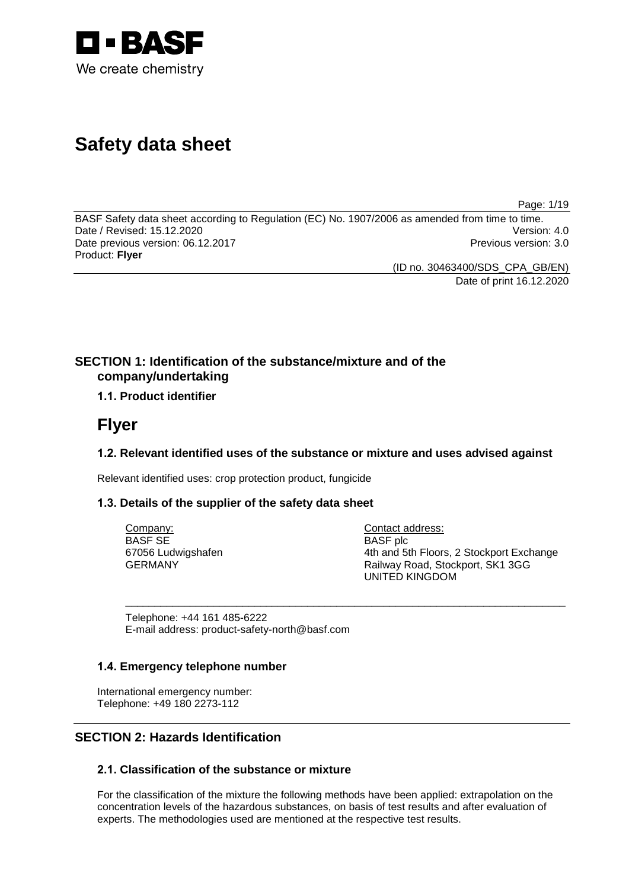

# **Safety data sheet**

Page: 1/19

BASF Safety data sheet according to Regulation (EC) No. 1907/2006 as amended from time to time.<br>Date / Revised: 15.12.2020 Date / Revised: 15.12.2020 Date previous version: 06.12.2017 **Previous version: 3.0** Previous version: 3.0 Product: **Flyer**

(ID no. 30463400/SDS\_CPA\_GB/EN) Date of print 16.12.2020

**SECTION 1: Identification of the substance/mixture and of the company/undertaking**

# **1.1. Product identifier**

# **Flyer**

# **1.2. Relevant identified uses of the substance or mixture and uses advised against**

\_\_\_\_\_\_\_\_\_\_\_\_\_\_\_\_\_\_\_\_\_\_\_\_\_\_\_\_\_\_\_\_\_\_\_\_\_\_\_\_\_\_\_\_\_\_\_\_\_\_\_\_\_\_\_\_\_\_\_\_\_\_\_\_\_\_\_\_\_\_\_\_\_\_\_

Relevant identified uses: crop protection product, fungicide

# **1.3. Details of the supplier of the safety data sheet**

Company: BASF SE 67056 Ludwigshafen GERMANY

Contact address: BASF plc 4th and 5th Floors, 2 Stockport Exchange Railway Road, Stockport, SK1 3GG UNITED KINGDOM

Telephone: +44 161 485-6222 E-mail address: product-safety-north@basf.com

# **1.4. Emergency telephone number**

International emergency number: Telephone: +49 180 2273-112

# **SECTION 2: Hazards Identification**

# **2.1. Classification of the substance or mixture**

For the classification of the mixture the following methods have been applied: extrapolation on the concentration levels of the hazardous substances, on basis of test results and after evaluation of experts. The methodologies used are mentioned at the respective test results.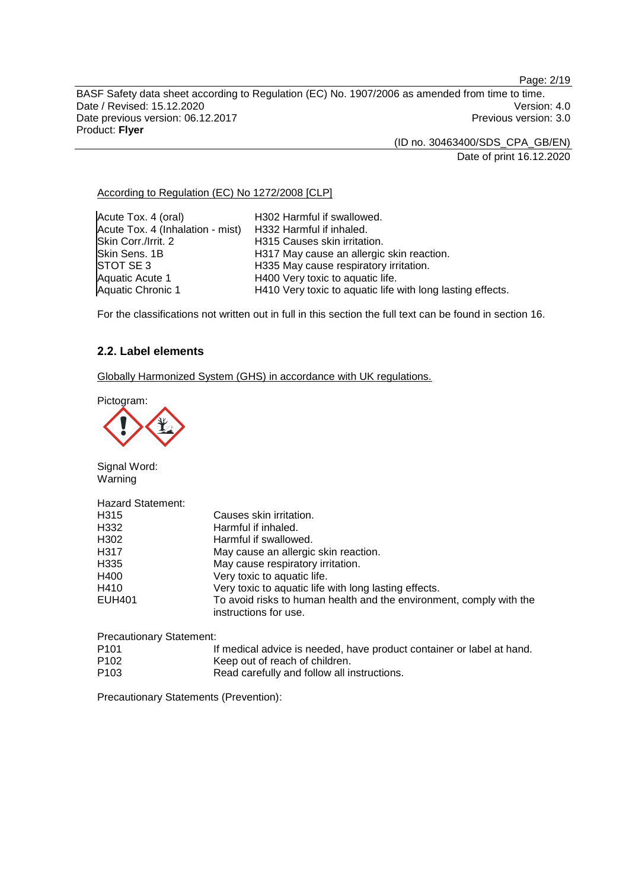Page: 2/19

BASF Safety data sheet according to Regulation (EC) No. 1907/2006 as amended from time to time. Date / Revised: 15.12.2020<br>
Date previous version: 06.12.2017<br>
Date previous version: 06.12.2017 Date previous version: 06.12.2017 Product: **Flyer**

(ID no. 30463400/SDS\_CPA\_GB/EN)

Date of print 16.12.2020

According to Regulation (EC) No 1272/2008 [CLP]

Acute Tox. 4 (oral) H302 Harmful if swallowed. Acute Tox. 4 (Inhalation - mist) H332 Harmful if inhaled. Skin Corr./Irrit. 2 **H315 Causes skin irritation.**<br>Skin Sens. 1B **H317 May cause an allergic** Skin Sens. 1B **H317 May cause an allergic skin reaction.**<br>STOT SE 3 **H335 May cause respiratory irritation**. STOT SE 3 H335 May cause respiratory irritation.<br>Aquatic Acute 1 H400 Very toxic to aquatic life. Aquatic Acute 1 **H400 Very toxic to aquatic life.**<br>
Aquatic Chronic 1 **H410 Very toxic to aquatic life** H410 Very toxic to aquatic life with long lasting effects.

For the classifications not written out in full in this section the full text can be found in section 16.

# **2.2. Label elements**

Globally Harmonized System (GHS) in accordance with UK regulations.

Pictogram:



Signal Word: Warning

| <b>Hazard Statement:</b> |                                                                                              |
|--------------------------|----------------------------------------------------------------------------------------------|
| H315                     | Causes skin irritation.                                                                      |
| H332                     | Harmful if inhaled.                                                                          |
| H302                     | Harmful if swallowed.                                                                        |
| H317                     | May cause an allergic skin reaction.                                                         |
| H335                     | May cause respiratory irritation.                                                            |
| H400                     | Very toxic to aquatic life.                                                                  |
| H410                     | Very toxic to aquatic life with long lasting effects.                                        |
| <b>EUH401</b>            | To avoid risks to human health and the environment, comply with the<br>instructions for use. |
|                          |                                                                                              |

| <b>Precautionary Statement:</b> |                                                                       |
|---------------------------------|-----------------------------------------------------------------------|
| P101                            | If medical advice is needed, have product container or label at hand. |
| P102                            | Keep out of reach of children.                                        |
| P103                            | Read carefully and follow all instructions.                           |

Precautionary Statements (Prevention):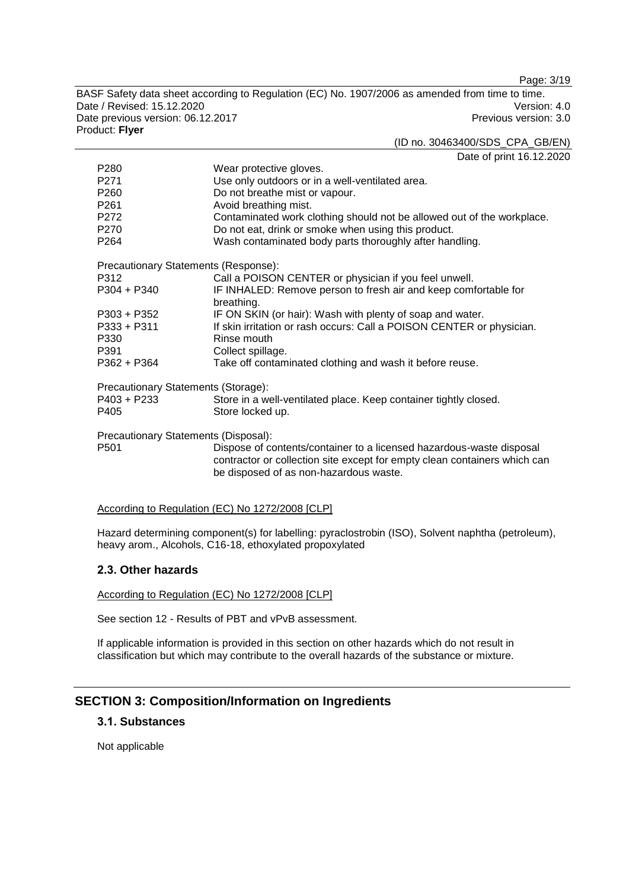Page: 3/19

BASF Safety data sheet according to Regulation (EC) No. 1907/2006 as amended from time to time. Date / Revised: 15.12.2020<br>
Date previous version: 06.12.2017<br>
Date previous version: 06.12.2017 Date previous version: 06.12.2017 Product: **Flyer** (ID no. 30463400/SDS\_CPA\_GB/EN)

|                                      | Date of print 16.12.2020                                                                                                                                                                    |
|--------------------------------------|---------------------------------------------------------------------------------------------------------------------------------------------------------------------------------------------|
| P <sub>280</sub>                     | Wear protective gloves.                                                                                                                                                                     |
| P271                                 | Use only outdoors or in a well-ventilated area.                                                                                                                                             |
| P260                                 | Do not breathe mist or vapour.                                                                                                                                                              |
| P <sub>261</sub>                     | Avoid breathing mist.                                                                                                                                                                       |
| P272                                 | Contaminated work clothing should not be allowed out of the workplace.                                                                                                                      |
| P270                                 | Do not eat, drink or smoke when using this product.                                                                                                                                         |
| P <sub>264</sub>                     | Wash contaminated body parts thoroughly after handling.                                                                                                                                     |
| Precautionary Statements (Response): |                                                                                                                                                                                             |
| P312                                 | Call a POISON CENTER or physician if you feel unwell.                                                                                                                                       |
| $P304 + P340$                        | IF INHALED: Remove person to fresh air and keep comfortable for                                                                                                                             |
|                                      | breathing.                                                                                                                                                                                  |
| $P303 + P352$                        | IF ON SKIN (or hair): Wash with plenty of soap and water.                                                                                                                                   |
| $P333 + P311$                        | If skin irritation or rash occurs: Call a POISON CENTER or physician.                                                                                                                       |
| P330                                 | Rinse mouth                                                                                                                                                                                 |
| P391                                 | Collect spillage.                                                                                                                                                                           |
| P362 + P364                          | Take off contaminated clothing and wash it before reuse.                                                                                                                                    |
| Precautionary Statements (Storage):  |                                                                                                                                                                                             |
| P403 + P233                          | Store in a well-ventilated place. Keep container tightly closed.                                                                                                                            |
| P405                                 | Store locked up.                                                                                                                                                                            |
| Precautionary Statements (Disposal): |                                                                                                                                                                                             |
| P <sub>501</sub>                     | Dispose of contents/container to a licensed hazardous-waste disposal<br>contractor or collection site except for empty clean containers which can<br>be disposed of as non-hazardous waste. |
|                                      |                                                                                                                                                                                             |

According to Regulation (EC) No 1272/2008 [CLP]

Hazard determining component(s) for labelling: pyraclostrobin (ISO), Solvent naphtha (petroleum), heavy arom., Alcohols, C16-18, ethoxylated propoxylated

# **2.3. Other hazards**

According to Regulation (EC) No 1272/2008 [CLP]

See section 12 - Results of PBT and vPvB assessment.

If applicable information is provided in this section on other hazards which do not result in classification but which may contribute to the overall hazards of the substance or mixture.

# **SECTION 3: Composition/Information on Ingredients**

# **3.1. Substances**

Not applicable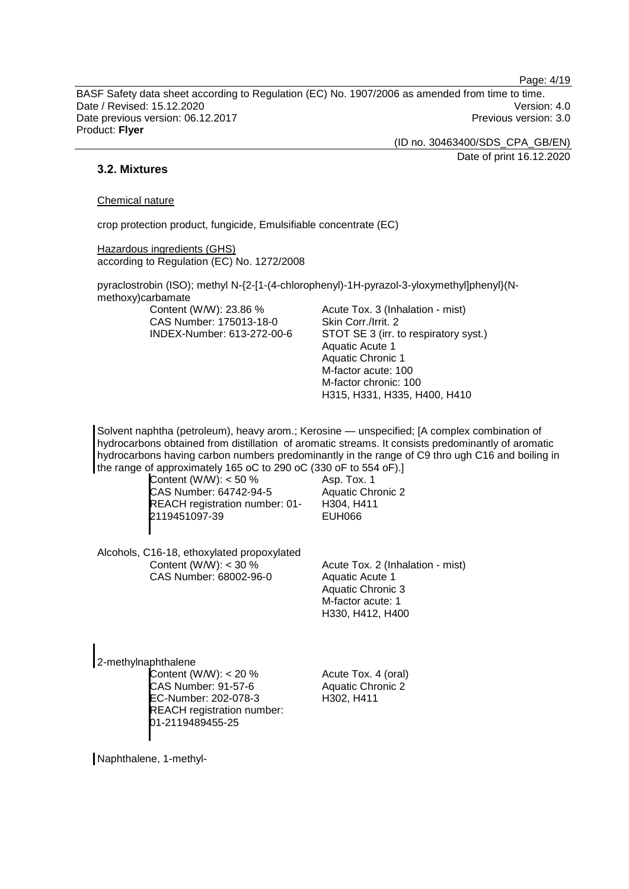Page: 4/19

BASF Safety data sheet according to Regulation (EC) No. 1907/2006 as amended from time to time. Date / Revised: 15.12.2020 Version: 4.0 Date previous version: 06.12.2017 **Previous version: 3.0** Previous version: 3.0 Product: **Flyer**

(ID no. 30463400/SDS\_CPA\_GB/EN)

Date of print 16.12.2020

# **3.2. Mixtures**

#### Chemical nature

crop protection product, fungicide, Emulsifiable concentrate (EC)

Hazardous ingredients (GHS) according to Regulation (EC) No. 1272/2008

pyraclostrobin (ISO); methyl N-{2-[1-(4-chlorophenyl)-1H-pyrazol-3-yloxymethyl]phenyl}(Nmethoxy)carbamate

Content (W/W): 23.86 % CAS Number: 175013-18-0 INDEX-Number: 613-272-00-6 Acute Tox. 3 (Inhalation - mist) Skin Corr./Irrit. 2 STOT SE 3 (irr. to respiratory syst.) Aquatic Acute 1 Aquatic Chronic 1 M-factor acute: 100 M-factor chronic: 100 H315, H331, H335, H400, H410

Solvent naphtha (petroleum), heavy arom.; Kerosine — unspecified; [A complex combination of hydrocarbons obtained from distillation of aromatic streams. It consists predominantly of aromatic hydrocarbons having carbon numbers predominantly in the range of C9 thro ugh C16 and boiling in the range of approximately 165 oC to 290 oC (330 oF to 554 oF).]

Content (W/W): < 50 % CAS Number: 64742-94-5 REACH registration number: 01- 2119451097-39

Asp. Tox. 1 Aquatic Chronic 2 H304, H411 EUH066

Alcohols, C16-18, ethoxylated propoxylated Content (W/W):  $<$  30 % CAS Number: 68002-96-0

Acute Tox. 2 (Inhalation - mist) Aquatic Acute 1 Aquatic Chronic 3 M-factor acute: 1 H330, H412, H400

2-methylnaphthalene Content (W/W): < 20 % CAS Number: 91-57-6 EC-Number: 202-078-3 REACH registration number: 01-2119489455-25

Acute Tox. 4 (oral) Aquatic Chronic 2 H302, H411

Naphthalene, 1-methyl-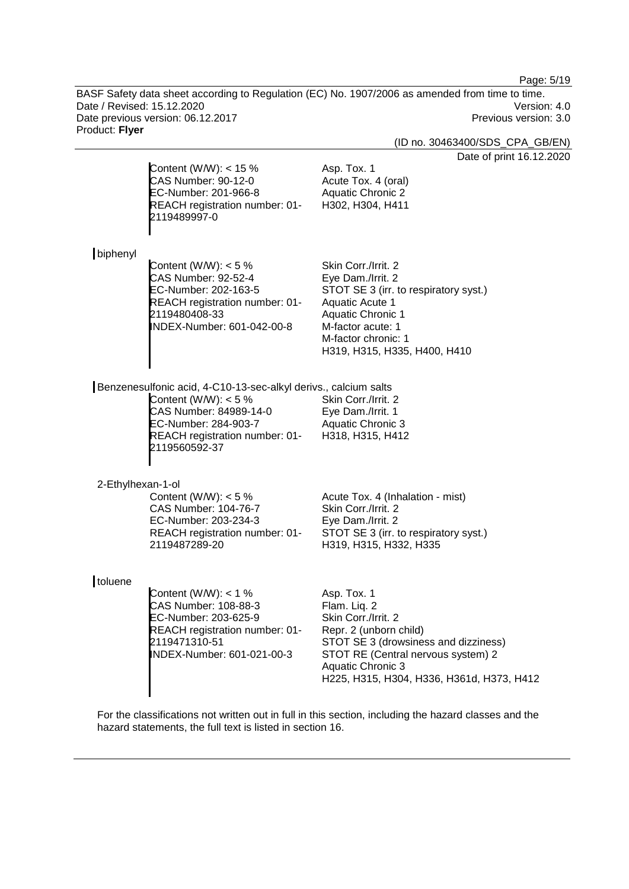Page: 5/19

BASF Safety data sheet according to Regulation (EC) No. 1907/2006 as amended from time to time. Date / Revised: 15.12.2020<br>
Date previous version: 06.12.2017<br>
Date previous version: 06.12.2017 Date previous version: 06.12.2017 Product: **Flyer**

(ID no. 30463400/SDS\_CPA\_GB/EN)

Date of print 16.12.2020

|                   | Content (W/W): $<$ 15 %<br>CAS Number: 90-12-0<br>EC-Number: 201-966-8<br>REACH registration number: 01-<br>2119489997-0                                                                       | Date of print 16.12<br>Asp. Tox. 1<br>Acute Tox. 4 (oral)<br><b>Aquatic Chronic 2</b><br>H302, H304, H411                                                                                                                           |
|-------------------|------------------------------------------------------------------------------------------------------------------------------------------------------------------------------------------------|-------------------------------------------------------------------------------------------------------------------------------------------------------------------------------------------------------------------------------------|
| biphenyl          | Content (W/W): $<$ 5 %<br><b>CAS Number: 92-52-4</b><br>EC-Number: 202-163-5<br>REACH registration number: 01-<br>2119480408-33<br>INDEX-Number: 601-042-00-8                                  | Skin Corr./Irrit. 2<br>Eye Dam./Irrit. 2<br>STOT SE 3 (irr. to respiratory syst.)<br>Aquatic Acute 1<br><b>Aquatic Chronic 1</b><br>M-factor acute: 1<br>M-factor chronic: 1<br>H319, H315, H335, H400, H410                        |
|                   | Benzenesulfonic acid, 4-C10-13-sec-alkyl derivs., calcium salts<br>Content (W/W): $<$ 5 %<br>CAS Number: 84989-14-0<br>EC-Number: 284-903-7<br>REACH registration number: 01-<br>2119560592-37 | Skin Corr./Irrit. 2<br>Eye Dam./Irrit. 1<br><b>Aquatic Chronic 3</b><br>H318, H315, H412                                                                                                                                            |
| 2-Ethylhexan-1-ol | Content (W/W): $<$ 5 %<br>CAS Number: 104-76-7<br>EC-Number: 203-234-3<br>REACH registration number: 01-<br>2119487289-20                                                                      | Acute Tox. 4 (Inhalation - mist)<br>Skin Corr./Irrit. 2<br>Eye Dam./Irrit. 2<br>STOT SE 3 (irr. to respiratory syst.)<br>H319, H315, H332, H335                                                                                     |
| toluene           | Content (W/W): $<$ 1 %<br>CAS Number: 108-88-3<br>EC-Number: 203-625-9<br>REACH registration number: 01-<br>2119471310-51<br>INDEX-Number: 601-021-00-3                                        | Asp. Tox. 1<br>Flam. Liq. 2<br>Skin Corr./Irrit. 2<br>Repr. 2 (unborn child)<br>STOT SE 3 (drowsiness and dizziness)<br>STOT RE (Central nervous system) 2<br><b>Aquatic Chronic 3</b><br>H225, H315, H304, H336, H361d, H373, H412 |

For the classifications not written out in full in this section, including the hazard classes and the hazard statements, the full text is listed in section 16.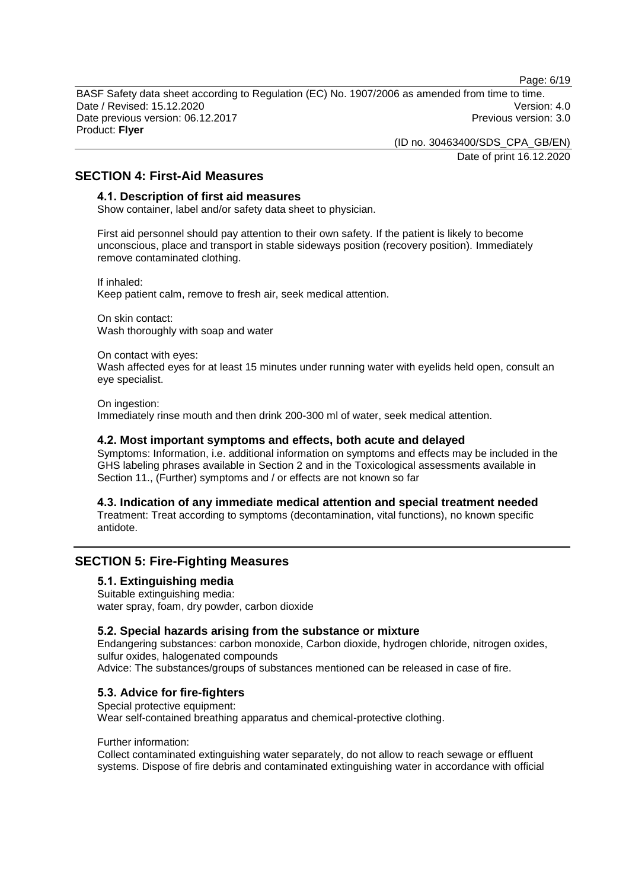Page: 6/19

BASF Safety data sheet according to Regulation (EC) No. 1907/2006 as amended from time to time. Date / Revised: 15.12.2020 Version: 4.0 Date previous version: 06.12.2017 **Previous version: 3.0** Previous version: 3.0 Product: **Flyer**

> (ID no. 30463400/SDS\_CPA\_GB/EN) Date of print 16.12.2020

**SECTION 4: First-Aid Measures**

### **4.1. Description of first aid measures**

Show container, label and/or safety data sheet to physician.

First aid personnel should pay attention to their own safety. If the patient is likely to become unconscious, place and transport in stable sideways position (recovery position). Immediately remove contaminated clothing.

If inhaled: Keep patient calm, remove to fresh air, seek medical attention.

On skin contact: Wash thoroughly with soap and water

On contact with eyes:

Wash affected eyes for at least 15 minutes under running water with eyelids held open, consult an eye specialist.

On ingestion: Immediately rinse mouth and then drink 200-300 ml of water, seek medical attention.

# **4.2. Most important symptoms and effects, both acute and delayed**

Symptoms: Information, i.e. additional information on symptoms and effects may be included in the GHS labeling phrases available in Section 2 and in the Toxicological assessments available in Section 11., (Further) symptoms and / or effects are not known so far

**4.3. Indication of any immediate medical attention and special treatment needed**

Treatment: Treat according to symptoms (decontamination, vital functions), no known specific antidote.

# **SECTION 5: Fire-Fighting Measures**

# **5.1. Extinguishing media**

Suitable extinguishing media: water spray, foam, dry powder, carbon dioxide

# **5.2. Special hazards arising from the substance or mixture**

Endangering substances: carbon monoxide, Carbon dioxide, hydrogen chloride, nitrogen oxides, sulfur oxides, halogenated compounds Advice: The substances/groups of substances mentioned can be released in case of fire.

# **5.3. Advice for fire-fighters**

Special protective equipment: Wear self-contained breathing apparatus and chemical-protective clothing.

#### Further information:

Collect contaminated extinguishing water separately, do not allow to reach sewage or effluent systems. Dispose of fire debris and contaminated extinguishing water in accordance with official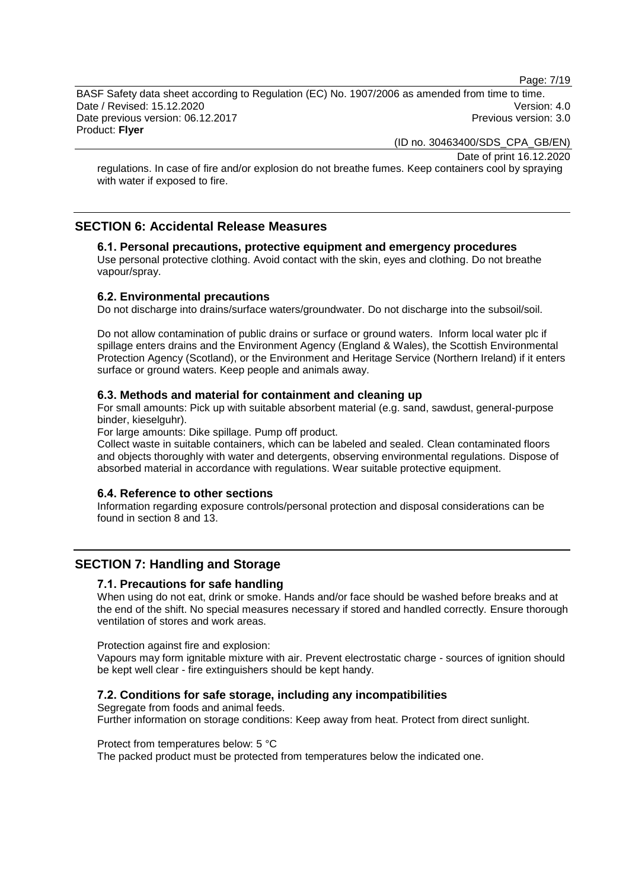Page: 7/19

BASF Safety data sheet according to Regulation (EC) No. 1907/2006 as amended from time to time. Date / Revised: 15.12.2020 Version: 4.0 Date previous version: 06.12.2017 **Previous version: 3.0** Previous version: 3.0 Product: **Flyer**

(ID no. 30463400/SDS\_CPA\_GB/EN)

Date of print 16.12.2020

regulations. In case of fire and/or explosion do not breathe fumes. Keep containers cool by spraying with water if exposed to fire.

# **SECTION 6: Accidental Release Measures**

# **6.1. Personal precautions, protective equipment and emergency procedures**

Use personal protective clothing. Avoid contact with the skin, eyes and clothing. Do not breathe vapour/spray.

### **6.2. Environmental precautions**

Do not discharge into drains/surface waters/groundwater. Do not discharge into the subsoil/soil.

Do not allow contamination of public drains or surface or ground waters. Inform local water plc if spillage enters drains and the Environment Agency (England & Wales), the Scottish Environmental Protection Agency (Scotland), or the Environment and Heritage Service (Northern Ireland) if it enters surface or ground waters. Keep people and animals away.

#### **6.3. Methods and material for containment and cleaning up**

For small amounts: Pick up with suitable absorbent material (e.g. sand, sawdust, general-purpose binder, kieselguhr).

For large amounts: Dike spillage. Pump off product.

Collect waste in suitable containers, which can be labeled and sealed. Clean contaminated floors and objects thoroughly with water and detergents, observing environmental regulations. Dispose of absorbed material in accordance with regulations. Wear suitable protective equipment.

#### **6.4. Reference to other sections**

Information regarding exposure controls/personal protection and disposal considerations can be found in section 8 and 13.

# **SECTION 7: Handling and Storage**

# **7.1. Precautions for safe handling**

When using do not eat, drink or smoke. Hands and/or face should be washed before breaks and at the end of the shift. No special measures necessary if stored and handled correctly. Ensure thorough ventilation of stores and work areas.

Protection against fire and explosion:

Vapours may form ignitable mixture with air. Prevent electrostatic charge - sources of ignition should be kept well clear - fire extinguishers should be kept handy.

#### **7.2. Conditions for safe storage, including any incompatibilities**

Segregate from foods and animal feeds. Further information on storage conditions: Keep away from heat. Protect from direct sunlight.

Protect from temperatures below: 5 °C

The packed product must be protected from temperatures below the indicated one.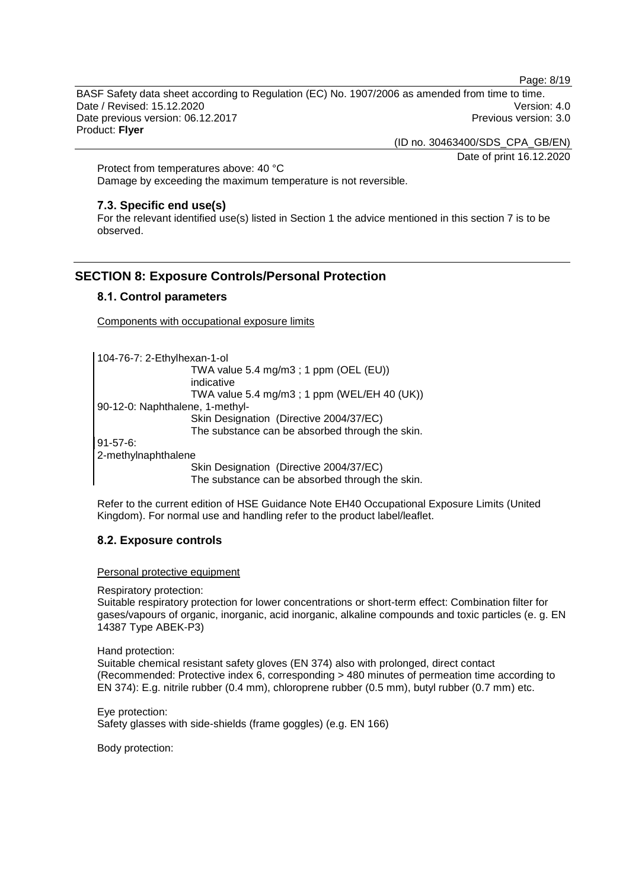Page: 8/19

BASF Safety data sheet according to Regulation (EC) No. 1907/2006 as amended from time to time. Date / Revised: 15.12.2020 Version: 4.0 Date previous version: 06.12.2017 **Previous version: 3.0** Previous version: 3.0 Product: **Flyer**

(ID no. 30463400/SDS\_CPA\_GB/EN)

Date of print 16.12.2020

Protect from temperatures above: 40 °C Damage by exceeding the maximum temperature is not reversible.

# **7.3. Specific end use(s)**

For the relevant identified use(s) listed in Section 1 the advice mentioned in this section 7 is to be observed.

# **SECTION 8: Exposure Controls/Personal Protection**

# **8.1. Control parameters**

Components with occupational exposure limits

104-76-7: 2-Ethylhexan-1-ol TWA value 5.4 mg/m3 ; 1 ppm (OEL (EU)) indicative TWA value 5.4 mg/m3 ; 1 ppm (WEL/EH 40 (UK)) 90-12-0: Naphthalene, 1-methyl-Skin Designation (Directive 2004/37/EC) The substance can be absorbed through the skin. 91-57-6: 2-methylnaphthalene

Skin Designation (Directive 2004/37/EC)

The substance can be absorbed through the skin.

Refer to the current edition of HSE Guidance Note EH40 Occupational Exposure Limits (United Kingdom). For normal use and handling refer to the product label/leaflet.

# **8.2. Exposure controls**

Personal protective equipment

Respiratory protection:

Suitable respiratory protection for lower concentrations or short-term effect: Combination filter for gases/vapours of organic, inorganic, acid inorganic, alkaline compounds and toxic particles (e. g. EN 14387 Type ABEK-P3)

Hand protection:

Suitable chemical resistant safety gloves (EN 374) also with prolonged, direct contact (Recommended: Protective index 6, corresponding > 480 minutes of permeation time according to EN 374): E.g. nitrile rubber (0.4 mm), chloroprene rubber (0.5 mm), butyl rubber (0.7 mm) etc.

Eye protection: Safety glasses with side-shields (frame goggles) (e.g. EN 166)

Body protection: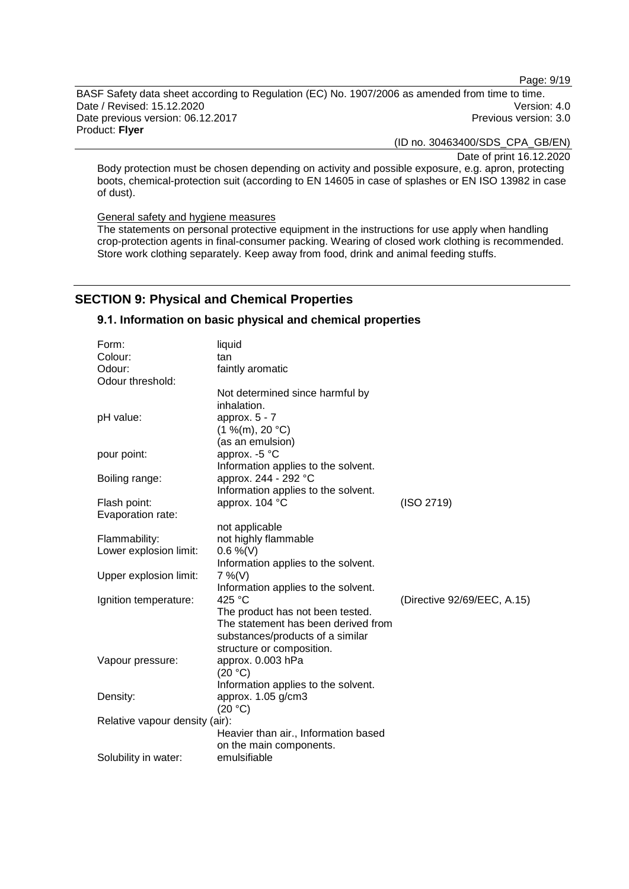Page: 9/19

BASF Safety data sheet according to Regulation (EC) No. 1907/2006 as amended from time to time. Date / Revised: 15.12.2020<br>
Date previous version: 06.12.2017<br>
Date previous version: 06.12.2017 Date previous version: 06.12.2017 Product: **Flyer**

(ID no. 30463400/SDS\_CPA\_GB/EN)

Date of print 16.12.2020

Body protection must be chosen depending on activity and possible exposure, e.g. apron, protecting boots, chemical-protection suit (according to EN 14605 in case of splashes or EN ISO 13982 in case of dust).

General safety and hygiene measures

The statements on personal protective equipment in the instructions for use apply when handling crop-protection agents in final-consumer packing. Wearing of closed work clothing is recommended. Store work clothing separately. Keep away from food, drink and animal feeding stuffs.

# **SECTION 9: Physical and Chemical Properties**

# **9.1. Information on basic physical and chemical properties**

| Form:                          | liquid                               |                             |
|--------------------------------|--------------------------------------|-----------------------------|
| Colour:                        | tan                                  |                             |
| Odour:                         | faintly aromatic                     |                             |
| Odour threshold:               |                                      |                             |
|                                | Not determined since harmful by      |                             |
|                                | inhalation.                          |                             |
| pH value:                      | approx. $5 - 7$                      |                             |
|                                | (1 %(m), 20 °C)                      |                             |
|                                | (as an emulsion)                     |                             |
| pour point:                    | approx. -5 °C                        |                             |
|                                | Information applies to the solvent.  |                             |
| Boiling range:                 | approx. 244 - 292 °C                 |                             |
|                                | Information applies to the solvent.  |                             |
| Flash point:                   | approx. 104 °C                       | (ISO 2719)                  |
| Evaporation rate:              |                                      |                             |
|                                | not applicable                       |                             |
| Flammability:                  | not highly flammable                 |                             |
| Lower explosion limit:         | $0.6\%$ (V)                          |                             |
|                                | Information applies to the solvent.  |                             |
| Upper explosion limit:         | $7\%$ (V)                            |                             |
|                                | Information applies to the solvent.  |                             |
| Ignition temperature:          | 425 $^{\circ}$ C                     | (Directive 92/69/EEC, A.15) |
|                                | The product has not been tested.     |                             |
|                                | The statement has been derived from  |                             |
|                                | substances/products of a similar     |                             |
|                                | structure or composition.            |                             |
| Vapour pressure:               | approx. 0.003 hPa                    |                             |
|                                | (20 °C)                              |                             |
|                                | Information applies to the solvent.  |                             |
| Density:                       | approx. 1.05 g/cm3                   |                             |
|                                | (20 °C)                              |                             |
| Relative vapour density (air): |                                      |                             |
|                                | Heavier than air., Information based |                             |
|                                | on the main components.              |                             |
| Solubility in water:           | emulsifiable                         |                             |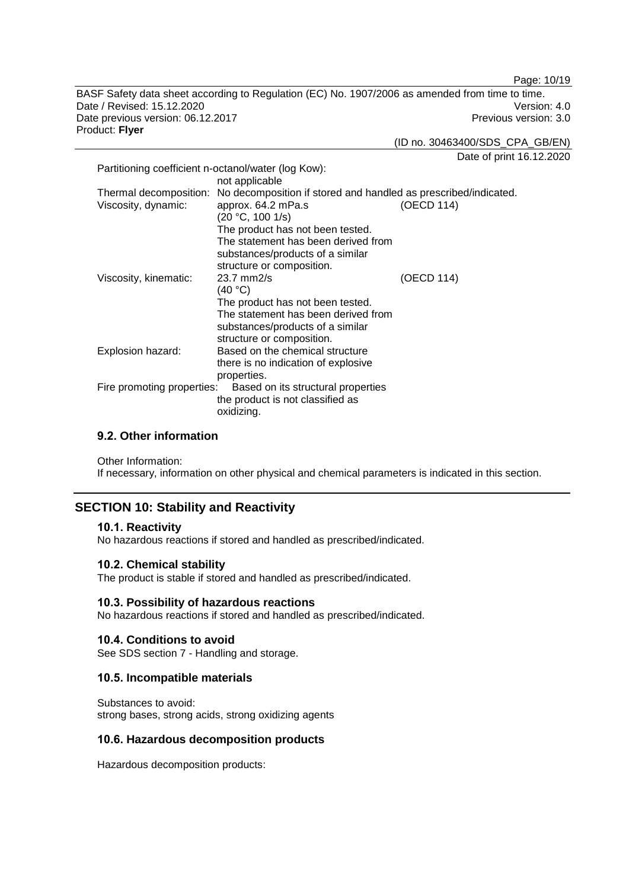Page: 10/19

BASF Safety data sheet according to Regulation (EC) No. 1907/2006 as amended from time to time. Date / Revised: 15.12.2020<br>
Date previous version: 06.12.2017<br>
Date previous version: 06.12.2017 Date previous version: 06.12.2017 Product: **Flyer**

(ID no. 30463400/SDS\_CPA\_GB/EN)

Date of print 16.12.2020

| Partitioning coefficient n-octanol/water (log Kow): |                                                                                                                                                                                                                                                                   |            |
|-----------------------------------------------------|-------------------------------------------------------------------------------------------------------------------------------------------------------------------------------------------------------------------------------------------------------------------|------------|
| Viscosity, dynamic:                                 | not applicable<br>Thermal decomposition: No decomposition if stored and handled as prescribed/indicated.<br>approx. 64.2 mPa.s<br>(20 °C, 100 1/s)<br>The product has not been tested.<br>The statement has been derived from<br>substances/products of a similar | (OECD 114) |
| Viscosity, kinematic:                               | structure or composition.<br>$23.7$ mm $2/s$<br>(40 °C)<br>The product has not been tested.<br>The statement has been derived from<br>substances/products of a similar                                                                                            | (OECD 114) |
| Explosion hazard:                                   | structure or composition.<br>Based on the chemical structure<br>there is no indication of explosive<br>properties.                                                                                                                                                |            |
| Fire promoting properties:                          | Based on its structural properties<br>the product is not classified as<br>oxidizing.                                                                                                                                                                              |            |

# **9.2. Other information**

Other Information:

If necessary, information on other physical and chemical parameters is indicated in this section.

# **SECTION 10: Stability and Reactivity**

# **10.1. Reactivity**

No hazardous reactions if stored and handled as prescribed/indicated.

# **10.2. Chemical stability**

The product is stable if stored and handled as prescribed/indicated.

# **10.3. Possibility of hazardous reactions**

No hazardous reactions if stored and handled as prescribed/indicated.

# **10.4. Conditions to avoid**

See SDS section 7 - Handling and storage.

# **10.5. Incompatible materials**

Substances to avoid: strong bases, strong acids, strong oxidizing agents

# **10.6. Hazardous decomposition products**

Hazardous decomposition products: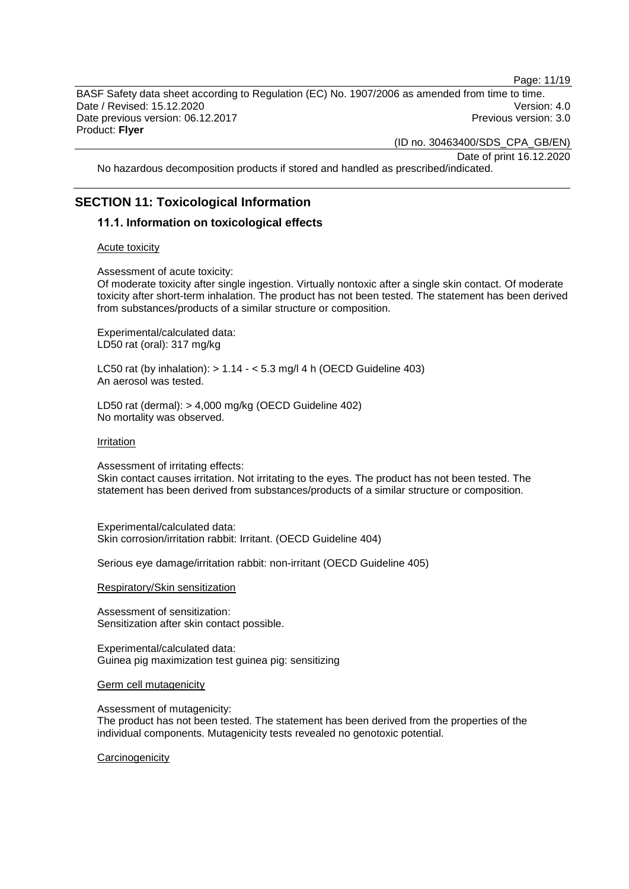Page: 11/19

BASF Safety data sheet according to Regulation (EC) No. 1907/2006 as amended from time to time. Date / Revised: 15.12.2020 Version: 4.0 Date previous version: 06.12.2017 **Previous version: 3.0** Previous version: 3.0 Product: **Flyer**

(ID no. 30463400/SDS\_CPA\_GB/EN)

Date of print 16.12.2020

No hazardous decomposition products if stored and handled as prescribed/indicated.

# **SECTION 11: Toxicological Information**

#### **11.1. Information on toxicological effects**

#### Acute toxicity

Assessment of acute toxicity:

Of moderate toxicity after single ingestion. Virtually nontoxic after a single skin contact. Of moderate toxicity after short-term inhalation. The product has not been tested. The statement has been derived from substances/products of a similar structure or composition.

Experimental/calculated data: LD50 rat (oral): 317 mg/kg

LC50 rat (by inhalation):  $> 1.14 - 5.3$  mg/l 4 h (OECD Guideline 403) An aerosol was tested.

LD50 rat (dermal): > 4,000 mg/kg (OECD Guideline 402) No mortality was observed.

Irritation

Assessment of irritating effects:

Skin contact causes irritation. Not irritating to the eyes. The product has not been tested. The statement has been derived from substances/products of a similar structure or composition.

Experimental/calculated data: Skin corrosion/irritation rabbit: Irritant. (OECD Guideline 404)

Serious eye damage/irritation rabbit: non-irritant (OECD Guideline 405)

Respiratory/Skin sensitization

Assessment of sensitization: Sensitization after skin contact possible.

Experimental/calculated data: Guinea pig maximization test guinea pig: sensitizing

Germ cell mutagenicity

Assessment of mutagenicity:

The product has not been tested. The statement has been derived from the properties of the individual components. Mutagenicity tests revealed no genotoxic potential.

**Carcinogenicity**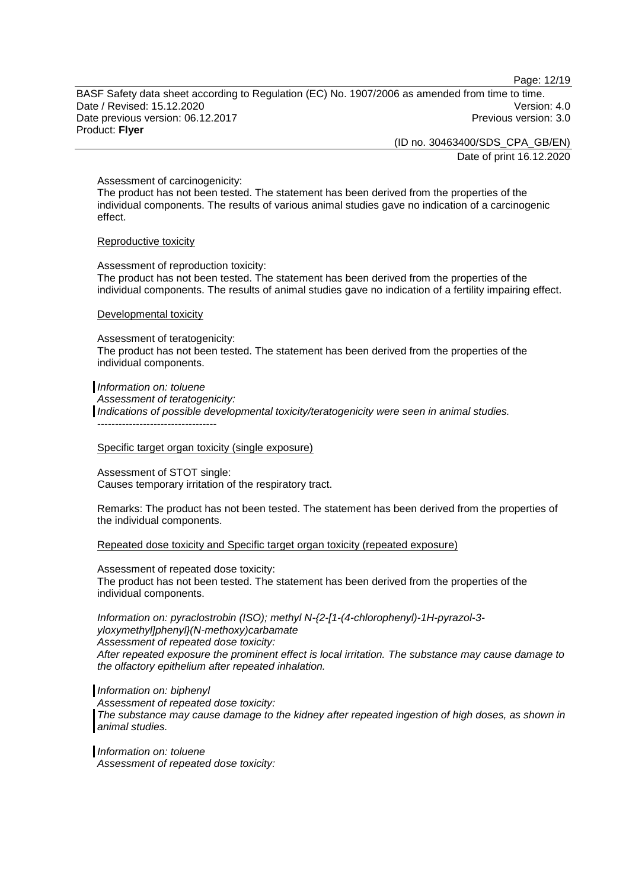Page: 12/19

BASF Safety data sheet according to Regulation (EC) No. 1907/2006 as amended from time to time. Date / Revised: 15.12.2020 Version: 4.0 Date previous version: 06.12.2017 **Previous version: 3.0** Previous version: 3.0 Product: **Flyer**

> (ID no. 30463400/SDS\_CPA\_GB/EN) Date of print 16.12.2020

Assessment of carcinogenicity:

The product has not been tested. The statement has been derived from the properties of the individual components. The results of various animal studies gave no indication of a carcinogenic effect.

#### Reproductive toxicity

Assessment of reproduction toxicity: The product has not been tested. The statement has been derived from the properties of the individual components. The results of animal studies gave no indication of a fertility impairing effect.

#### Developmental toxicity

Assessment of teratogenicity: The product has not been tested. The statement has been derived from the properties of the individual components.

*Information on: toluene Assessment of teratogenicity: Indications of possible developmental toxicity/teratogenicity were seen in animal studies.* ----------------------------------

#### Specific target organ toxicity (single exposure)

Assessment of STOT single: Causes temporary irritation of the respiratory tract.

Remarks: The product has not been tested. The statement has been derived from the properties of the individual components.

#### Repeated dose toxicity and Specific target organ toxicity (repeated exposure)

Assessment of repeated dose toxicity:

The product has not been tested. The statement has been derived from the properties of the individual components.

*Information on: pyraclostrobin (ISO); methyl N-{2-[1-(4-chlorophenyl)-1H-pyrazol-3 yloxymethyl]phenyl}(N-methoxy)carbamate Assessment of repeated dose toxicity: After repeated exposure the prominent effect is local irritation. The substance may cause damage to the olfactory epithelium after repeated inhalation.*

#### *Information on: biphenyl*

*Assessment of repeated dose toxicity: The substance may cause damage to the kidney after repeated ingestion of high doses, as shown in animal studies.*

*Information on: toluene Assessment of repeated dose toxicity:*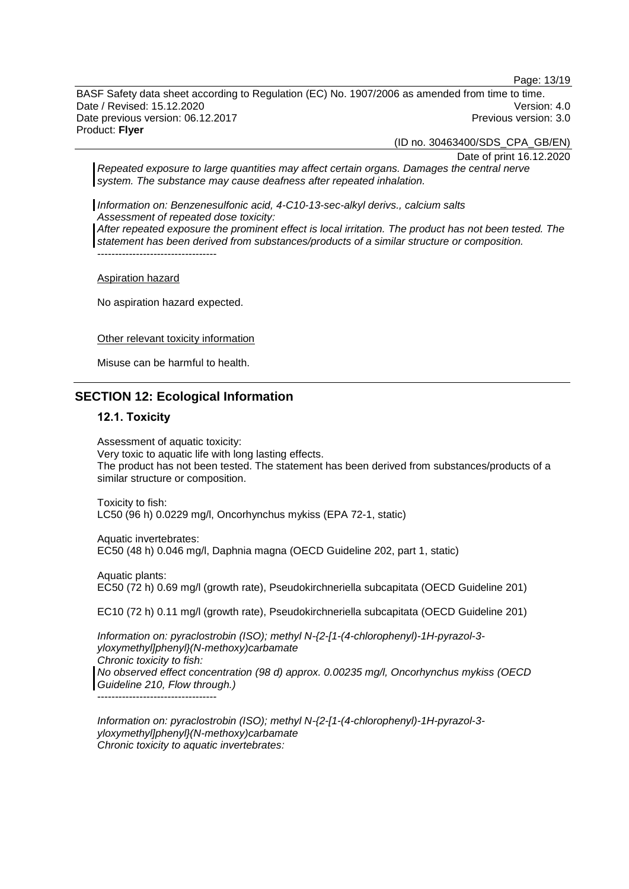Page: 13/19

BASF Safety data sheet according to Regulation (EC) No. 1907/2006 as amended from time to time. Date / Revised: 15.12.2020 Version: 4.0 Date previous version: 06.12.2017 **Previous version: 3.0** Previous version: 3.0 Product: **Flyer**

(ID no. 30463400/SDS\_CPA\_GB/EN)

Date of print 16.12.2020

*Repeated exposure to large quantities may affect certain organs. Damages the central nerve system. The substance may cause deafness after repeated inhalation.*

*Information on: Benzenesulfonic acid, 4-C10-13-sec-alkyl derivs., calcium salts Assessment of repeated dose toxicity: After repeated exposure the prominent effect is local irritation. The product has not been tested. The statement has been derived from substances/products of a similar structure or composition.*

Aspiration hazard

----------------------------------

No aspiration hazard expected.

Other relevant toxicity information

Misuse can be harmful to health.

# **SECTION 12: Ecological Information**

#### **12.1. Toxicity**

Assessment of aquatic toxicity: Very toxic to aquatic life with long lasting effects. The product has not been tested. The statement has been derived from substances/products of a similar structure or composition.

Toxicity to fish: LC50 (96 h) 0.0229 mg/l, Oncorhynchus mykiss (EPA 72-1, static)

Aquatic invertebrates: EC50 (48 h) 0.046 mg/l, Daphnia magna (OECD Guideline 202, part 1, static)

Aquatic plants: EC50 (72 h) 0.69 mg/l (growth rate), Pseudokirchneriella subcapitata (OECD Guideline 201)

EC10 (72 h) 0.11 mg/l (growth rate), Pseudokirchneriella subcapitata (OECD Guideline 201)

*Information on: pyraclostrobin (ISO); methyl N-{2-[1-(4-chlorophenyl)-1H-pyrazol-3 yloxymethyl]phenyl}(N-methoxy)carbamate Chronic toxicity to fish: No observed effect concentration (98 d) approx. 0.00235 mg/l, Oncorhynchus mykiss (OECD Guideline 210, Flow through.)* ----------------------------------

*Information on: pyraclostrobin (ISO); methyl N-{2-[1-(4-chlorophenyl)-1H-pyrazol-3 yloxymethyl]phenyl}(N-methoxy)carbamate Chronic toxicity to aquatic invertebrates:*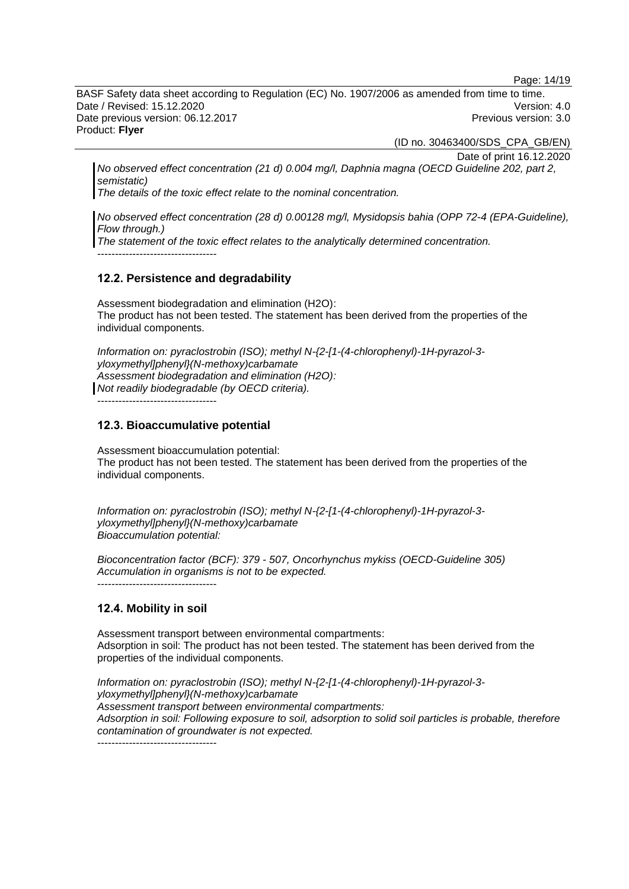Page: 14/19

BASF Safety data sheet according to Regulation (EC) No. 1907/2006 as amended from time to time. Date / Revised: 15.12.2020 Version: 4.0 Date previous version: 06.12.2017 **Previous version: 3.0** Previous version: 3.0 Product: **Flyer**

(ID no. 30463400/SDS\_CPA\_GB/EN)

Date of print 16.12.2020

*No observed effect concentration (21 d) 0.004 mg/l, Daphnia magna (OECD Guideline 202, part 2, semistatic)*

*The details of the toxic effect relate to the nominal concentration.*

*No observed effect concentration (28 d) 0.00128 mg/l, Mysidopsis bahia (OPP 72-4 (EPA-Guideline), Flow through.)*

*The statement of the toxic effect relates to the analytically determined concentration.*

----------------------------------

#### **12.2. Persistence and degradability**

Assessment biodegradation and elimination (H2O): The product has not been tested. The statement has been derived from the properties of the individual components.

*Information on: pyraclostrobin (ISO); methyl N-{2-[1-(4-chlorophenyl)-1H-pyrazol-3 yloxymethyl]phenyl}(N-methoxy)carbamate Assessment biodegradation and elimination (H2O): Not readily biodegradable (by OECD criteria).*

----------------------------------

# **12.3. Bioaccumulative potential**

Assessment bioaccumulation potential: The product has not been tested. The statement has been derived from the properties of the individual components.

*Information on: pyraclostrobin (ISO); methyl N-{2-[1-(4-chlorophenyl)-1H-pyrazol-3 yloxymethyl]phenyl}(N-methoxy)carbamate Bioaccumulation potential:*

*Bioconcentration factor (BCF): 379 - 507, Oncorhynchus mykiss (OECD-Guideline 305) Accumulation in organisms is not to be expected.* ----------------------------------

# **12.4. Mobility in soil**

Assessment transport between environmental compartments: Adsorption in soil: The product has not been tested. The statement has been derived from the properties of the individual components.

*Information on: pyraclostrobin (ISO); methyl N-{2-[1-(4-chlorophenyl)-1H-pyrazol-3 yloxymethyl]phenyl}(N-methoxy)carbamate Assessment transport between environmental compartments: Adsorption in soil: Following exposure to soil, adsorption to solid soil particles is probable, therefore contamination of groundwater is not expected.*

----------------------------------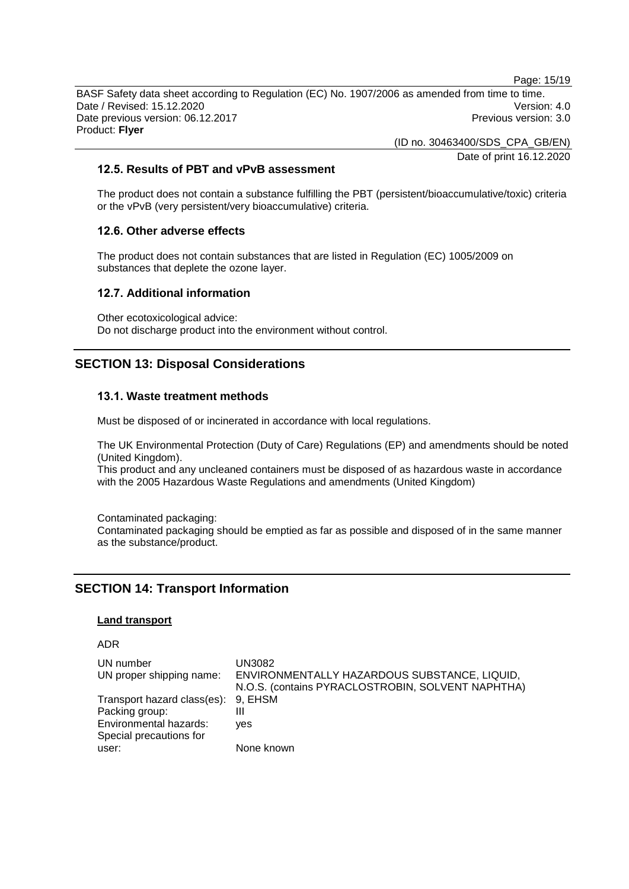Page: 15/19 BASF Safety data sheet according to Regulation (EC) No. 1907/2006 as amended from time to time. Date / Revised: 15.12.2020 Version: 4.0 Date previous version: 06.12.2017 **Previous version: 3.0** Previous version: 3.0 Product: **Flyer**

(ID no. 30463400/SDS\_CPA\_GB/EN)

Date of print 16.12.2020

# **12.5. Results of PBT and vPvB assessment**

The product does not contain a substance fulfilling the PBT (persistent/bioaccumulative/toxic) criteria or the vPvB (very persistent/very bioaccumulative) criteria.

# **12.6. Other adverse effects**

The product does not contain substances that are listed in Regulation (EC) 1005/2009 on substances that deplete the ozone layer.

# **12.7. Additional information**

Other ecotoxicological advice: Do not discharge product into the environment without control.

# **SECTION 13: Disposal Considerations**

# **13.1. Waste treatment methods**

Must be disposed of or incinerated in accordance with local regulations.

The UK Environmental Protection (Duty of Care) Regulations (EP) and amendments should be noted (United Kingdom).

This product and any uncleaned containers must be disposed of as hazardous waste in accordance with the 2005 Hazardous Waste Regulations and amendments (United Kingdom)

Contaminated packaging: Contaminated packaging should be emptied as far as possible and disposed of in the same manner as the substance/product.

# **SECTION 14: Transport Information**

# **Land transport**

# ADR

| UN number<br>UN proper shipping name: | UN3082<br>ENVIRONMENTALLY HAZARDOUS SUBSTANCE, LIQUID,<br>N.O.S. (contains PYRACLOSTROBIN, SOLVENT NAPHTHA) |
|---------------------------------------|-------------------------------------------------------------------------------------------------------------|
| Transport hazard class(es): 9, EHSM   |                                                                                                             |
| Packing group:                        | Ш                                                                                                           |
| Environmental hazards:                | ves                                                                                                         |
| Special precautions for               |                                                                                                             |
| user:                                 | None known                                                                                                  |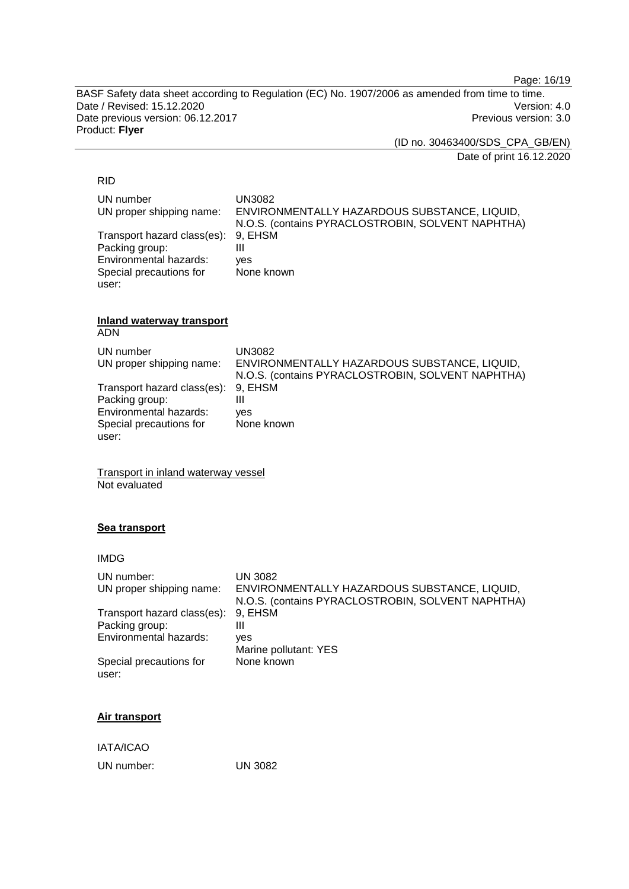Page: 16/19

BASF Safety data sheet according to Regulation (EC) No. 1907/2006 as amended from time to time. Date / Revised: 15.12.2020<br>
Date previous version: 06.12.2017<br>
Previous version: 3.0 Date previous version: 06.12.2017 Product: **Flyer**

(ID no. 30463400/SDS\_CPA\_GB/EN)

Date of print 16.12.2020

# RID

| UN number<br>UN proper shipping name:                 | UN3082<br>ENVIRONMENTALLY HAZARDOUS SUBSTANCE, LIQUID,<br>N.O.S. (contains PYRACLOSTROBIN, SOLVENT NAPHTHA) |
|-------------------------------------------------------|-------------------------------------------------------------------------------------------------------------|
| Transport hazard class(es): 9, EHSM<br>Packing group: | Ш                                                                                                           |
| Environmental hazards:                                | ves                                                                                                         |
| Special precautions for                               | None known                                                                                                  |
| user:                                                 |                                                                                                             |

#### **Inland waterway transport** ADN

| UN number<br>UN proper shipping name: | UN3082<br>ENVIRONMENTALLY HAZARDOUS SUBSTANCE, LIQUID,<br>N.O.S. (contains PYRACLOSTROBIN, SOLVENT NAPHTHA) |
|---------------------------------------|-------------------------------------------------------------------------------------------------------------|
| Transport hazard class(es): 9, EHSM   |                                                                                                             |
| Packing group:                        | Ш                                                                                                           |
| Environmental hazards:                | ves                                                                                                         |
| Special precautions for               | None known                                                                                                  |
| user:                                 |                                                                                                             |

Transport in inland waterway vessel Not evaluated

# **Sea transport**

| <b>IMDG</b>                      |                                                                                                   |
|----------------------------------|---------------------------------------------------------------------------------------------------|
| UN number:                       | UN 3082                                                                                           |
| UN proper shipping name:         | ENVIRONMENTALLY HAZARDOUS SUBSTANCE, LIQUID,<br>N.O.S. (contains PYRACLOSTROBIN, SOLVENT NAPHTHA) |
| Transport hazard class(es):      | 9. EHSM                                                                                           |
| Packing group:                   | Ш                                                                                                 |
| Environmental hazards:           | ves                                                                                               |
|                                  | Marine pollutant: YES                                                                             |
| Special precautions for<br>user: | None known                                                                                        |
|                                  |                                                                                                   |

# **Air transport**

IATA/ICAO

UN number: UN 3082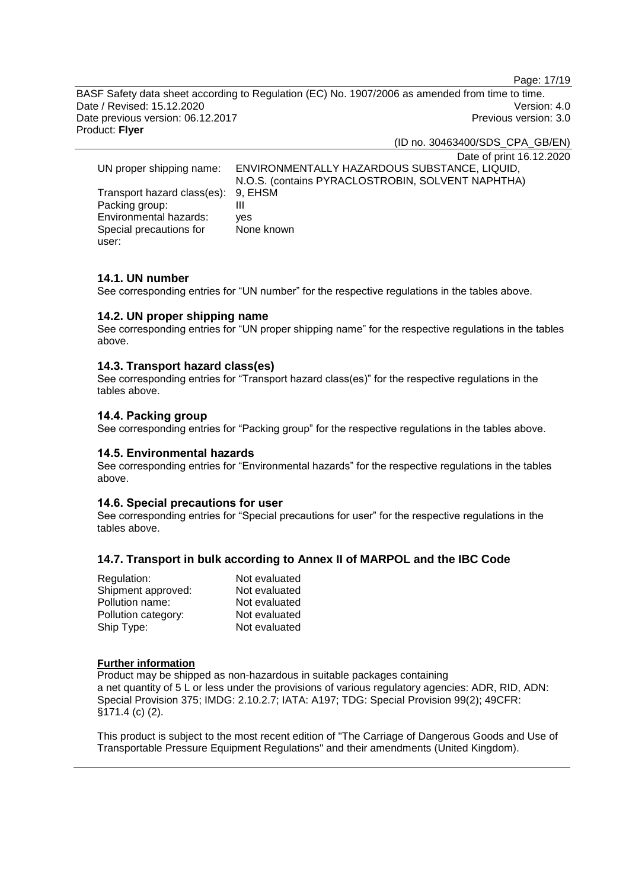Page: 17/19

BASF Safety data sheet according to Regulation (EC) No. 1907/2006 as amended from time to time. Date / Revised: 15.12.2020 Version: 4.0 Date previous version: 06.12.2017 **Previous version: 3.0** Previous version: 3.0 Product: **Flyer**

(ID no. 30463400/SDS\_CPA\_GB/EN)

Date of print 16.12.2020 UN proper shipping name: ENVIRONMENTALLY HAZARDOUS SUBSTANCE, LIQUID, N.O.S. (contains PYRACLOSTROBIN, SOLVENT NAPHTHA) Transport hazard class(es): 9, EHSM Packing group: III<br>Environmental hazards: ves Environmental hazards: Special precautions for user: None known

# **14.1. UN number**

See corresponding entries for "UN number" for the respective regulations in the tables above.

#### **14.2. UN proper shipping name**

See corresponding entries for "UN proper shipping name" for the respective regulations in the tables above.

#### **14.3. Transport hazard class(es)**

See corresponding entries for "Transport hazard class(es)" for the respective regulations in the tables above.

# **14.4. Packing group**

See corresponding entries for "Packing group" for the respective regulations in the tables above.

#### **14.5. Environmental hazards**

See corresponding entries for "Environmental hazards" for the respective regulations in the tables above.

#### **14.6. Special precautions for user**

See corresponding entries for "Special precautions for user" for the respective regulations in the tables above.

#### **14.7. Transport in bulk according to Annex II of MARPOL and the IBC Code**

| Regulation:         | Not evaluated |
|---------------------|---------------|
| Shipment approved:  | Not evaluated |
| Pollution name:     | Not evaluated |
| Pollution category: | Not evaluated |
| Ship Type:          | Not evaluated |

#### **Further information**

Product may be shipped as non-hazardous in suitable packages containing a net quantity of 5 L or less under the provisions of various regulatory agencies: ADR, RID, ADN: Special Provision 375; IMDG: 2.10.2.7; IATA: A197; TDG: Special Provision 99(2); 49CFR: §171.4 (c) (2).

This product is subject to the most recent edition of "The Carriage of Dangerous Goods and Use of Transportable Pressure Equipment Regulations" and their amendments (United Kingdom).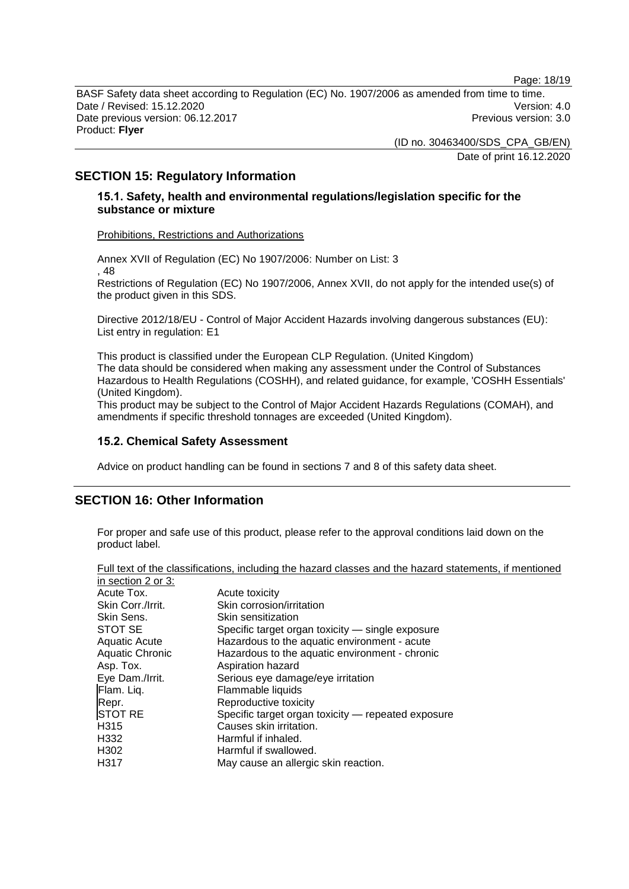Page: 18/19

BASF Safety data sheet according to Regulation (EC) No. 1907/2006 as amended from time to time. Date / Revised: 15.12.2020 Version: 4.0 Date previous version: 06.12.2017 **Previous version: 3.0** Previous version: 3.0 Product: **Flyer**

> (ID no. 30463400/SDS\_CPA\_GB/EN) Date of print 16.12.2020

# **SECTION 15: Regulatory Information**

# **15.1. Safety, health and environmental regulations/legislation specific for the substance or mixture**

Prohibitions, Restrictions and Authorizations

Annex XVII of Regulation (EC) No 1907/2006: Number on List: 3 , 48 Restrictions of Regulation (EC) No 1907/2006, Annex XVII, do not apply for the intended use(s) of the product given in this SDS.

Directive 2012/18/EU - Control of Major Accident Hazards involving dangerous substances (EU): List entry in regulation: E1

This product is classified under the European CLP Regulation. (United Kingdom) The data should be considered when making any assessment under the Control of Substances Hazardous to Health Regulations (COSHH), and related guidance, for example, 'COSHH Essentials' (United Kingdom).

This product may be subject to the Control of Major Accident Hazards Regulations (COMAH), and amendments if specific threshold tonnages are exceeded (United Kingdom).

# **15.2. Chemical Safety Assessment**

Advice on product handling can be found in sections 7 and 8 of this safety data sheet.

# **SECTION 16: Other Information**

For proper and safe use of this product, please refer to the approval conditions laid down on the product label.

|                        | an tont or the placemeations, including the natural classes and the nature etatom |
|------------------------|-----------------------------------------------------------------------------------|
| in section 2 or 3:     |                                                                                   |
| Acute Tox.             | Acute toxicity                                                                    |
| Skin Corr./Irrit.      | Skin corrosion/irritation                                                         |
| Skin Sens.             | Skin sensitization                                                                |
| STOT SE                | Specific target organ toxicity - single exposure                                  |
| <b>Aquatic Acute</b>   | Hazardous to the aquatic environment - acute                                      |
| <b>Aquatic Chronic</b> | Hazardous to the aquatic environment - chronic                                    |
| Asp. Tox.              | Aspiration hazard                                                                 |
| Eye Dam./Irrit.        | Serious eye damage/eye irritation                                                 |
| Flam. Liq.             | Flammable liquids                                                                 |
| Repr.                  | Reproductive toxicity                                                             |
| <b>STOT RE</b>         | Specific target organ toxicity — repeated exposure                                |
| H <sub>315</sub>       | Causes skin irritation.                                                           |
| H332                   | Harmful if inhaled.                                                               |
| H <sub>302</sub>       | Harmful if swallowed.                                                             |
| H317                   | May cause an allergic skin reaction.                                              |
|                        |                                                                                   |

Full text of the classifications, including the hazard classes and the hazard statements, if mentioned